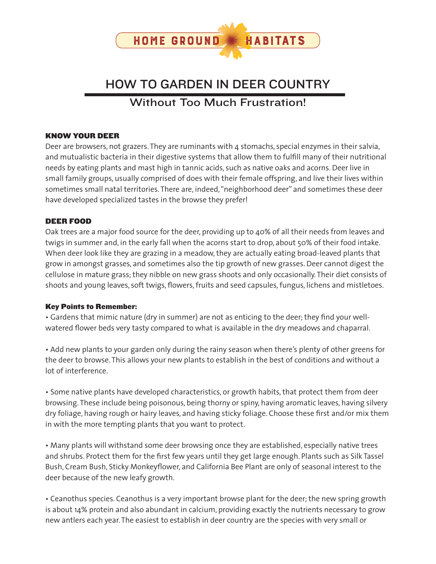

# HOW TO GARDEN IN DEER COUNTRY

# Without Too Much Frustration!

#### KNOW YOUR DEER

Deer are browsers, not grazers. They are ruminants with 4 stomachs, special enzymes in their salvia, and mutualistic bacteria in their digestive systems that allow them to fulfill many of their nutritional needs by eating plants and mast high in tannic acids, such as native oaks and acorns. Deer live in small family groups, usually comprised of does with their female offspring, and live their lives within sometimes small natal territories. There are, indeed, "neighborhood deer" and sometimes these deer have developed specialized tastes in the browse they prefer!

#### DEER FOOD

Oak trees are a major food source for the deer, providing up to 40% of all their needs from leaves and twigs in summer and, in the early fall when the acorns start to drop, about 50% of their food intake. When deer look like they are grazing in a meadow, they are actually eating broad-leaved plants that grow in amongst grasses, and sometimes also the tip growth of new grasses. Deer cannot digest the cellulose in mature grass; they nibble on new grass shoots and only occasionally. Their diet consists of shoots and young leaves, soft twigs, flowers, fruits and seed capsules, fungus, lichens and mistletoes.

#### Key Points to Remember:

• Gardens that mimic nature (dry in summer) are not as enticing to the deer; they find your wellwatered flower beds very tasty compared to what is available in the dry meadows and chaparral.

• Add new plants to your garden only during the rainy season when there's plenty of other greens for the deer to browse. This allows your new plants to establish in the best of conditions and without a lot of interference.

• Some native plants have developed characteristics, or growth habits, that protect them from deer browsing. These include being poisonous, being thorny or spiny, having aromatic leaves, having silvery dry foliage, having rough or hairy leaves, and having sticky foliage. Choose these first and/or mix them in with the more tempting plants that you want to protect.

• Many plants will withstand some deer browsing once they are established, especially native trees and shrubs. Protect them for the first few years until they get large enough. Plants such as Silk Tassel Bush, Cream Bush, Sticky Monkeyflower, and California Bee Plant are only of seasonal interest to the deer because of the new leafy growth.

• Ceanothus species. Ceanothus is a very important browse plant for the deer; the new spring growth is about 14% protein and also abundant in calcium, providing exactly the nutrients necessary to grow new antlers each year. The easiest to establish in deer country are the species with very small or